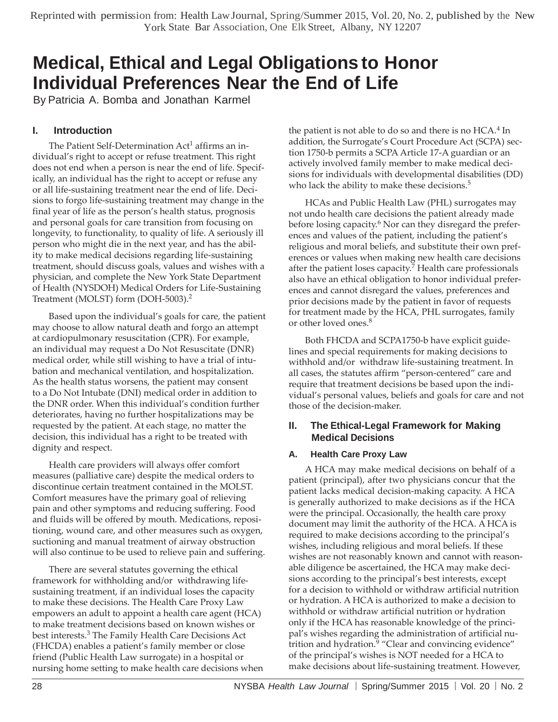# **Medical, Ethical and Legal Obligations to Honor Individual Preferences Near the End of Life**

By Patricia A. Bomba and Jonathan Karmel

## **I. Introduction**

The Patient Self-Determination Act<sup>1</sup> affirms an individual's right to accept or refuse treatment. This right does not end when a person is near the end of life. Specifically, an individual has the right to accept or refuse any or all life-sustaining treatment near the end of life. Decisions to forgo life-sustaining treatment may change in the final year of life as the person's health status, prognosis and personal goals for care transition from focusing on longevity, to functionality, to quality of life. A seriously ill person who might die in the next year, and has the ability to make medical decisions regarding life-sustaining treatment, should discuss goals, values and wishes with a physician, and complete the New York State Department of Health (NYSDOH) Medical Orders for Life-Sustaining Treatment (MOLST) form (DOH-5003).<sup>2</sup>

Based upon the individual's goals for care, the patient may choose to allow natural death and forgo an attempt at cardiopulmonary resuscitation (CPR). For example, an individual may request a Do Not Resuscitate (DNR) medical order, while still wishing to have a trial of intubation and mechanical ventilation, and hospitalization. As the health status worsens, the patient may consent to a Do Not Intubate (DNI) medical order in addition to the DNR order. When this individual's condition further deteriorates, having no further hospitalizations may be requested by the patient. At each stage, no matter the decision, this individual has a right to be treated with dignity and respect.

Health care providers will always offer comfort measures (palliative care) despite the medical orders to discontinue certain treatment contained in the MOLST. Comfort measures have the primary goal of relieving pain and other symptoms and reducing suffering. Food and fluids will be offered by mouth. Medications, repositioning, wound care, and other measures such as oxygen, suctioning and manual treatment of airway obstruction will also continue to be used to relieve pain and suffering.

There are several statutes governing the ethical framework for withholding and/or withdrawing lifesustaining treatment, if an individual loses the capacity to make these decisions. The Health Care Proxy Law empowers an adult to appoint a health care agent (HCA) to make treatment decisions based on known wishes or best interests.<sup>3</sup> The Family Health Care Decisions Act (FHCDA) enables a patient's family member or close friend (Public Health Law surrogate) in a hospital or nursing home setting to make health care decisions when the patient is not able to do so and there is no  $HCA<sup>4</sup>$  In addition, the Surrogate's Court Procedure Act (SCPA) section 1750-b permits a SCPA Article 17-A guardian or an actively involved family member to make medical decisions for individuals with developmental disabilities (DD) who lack the ability to make these decisions.<sup>5</sup>

HCAs and Public Health Law (PHL) surrogates may not undo health care decisions the patient already made before losing capacity.<sup>6</sup> Nor can they disregard the preferences and values of the patient, including the patient's religious and moral beliefs, and substitute their own preferences or values when making new health care decisions after the patient loses capacity. <sup>7</sup> Health care professionals also have an ethical obligation to honor individual preferences and cannot disregard the values, preferences and prior decisions made by the patient in favor of requests for treatment made by the HCA, PHL surrogates, family or other loved ones.<sup>8</sup>

Both FHCDA and SCPA1750-b have explicit guidelines and special requirements for making decisions to withhold and/or withdraw life-sustaining treatment. In all cases, the statutes affirm "person-centered" care and require that treatment decisions be based upon the individual's personal values, beliefs and goals for care and not those of the decision-maker.

## **II. The Ethical-Legal Framework for Making Medical Decisions**

## **A. Health Care Proxy Law**

A HCA may make medical decisions on behalf of a patient (principal), after two physicians concur that the patient lacks medical decision-making capacity. A HCA is generally authorized to make decisions as if the HCA were the principal. Occasionally, the health care proxy document may limit the authority of the HCA. A HCA is required to make decisions according to the principal's wishes, including religious and moral beliefs. If these wishes are not reasonably known and cannot with reasonable diligence be ascertained, the HCA may make decisions according to the principal's best interests, except for a decision to withhold or withdraw artificial nutrition or hydration. A HCA is authorized to make a decision to withhold or withdraw artificial nutrition or hydration only if the HCA has reasonable knowledge of the principal's wishes regarding the administration of artificial nutrition and hydration.<sup>9</sup> "Clear and convincing evidence" of the principal's wishes is NOT needed for a HCA to make decisions about life-sustaining treatment. However,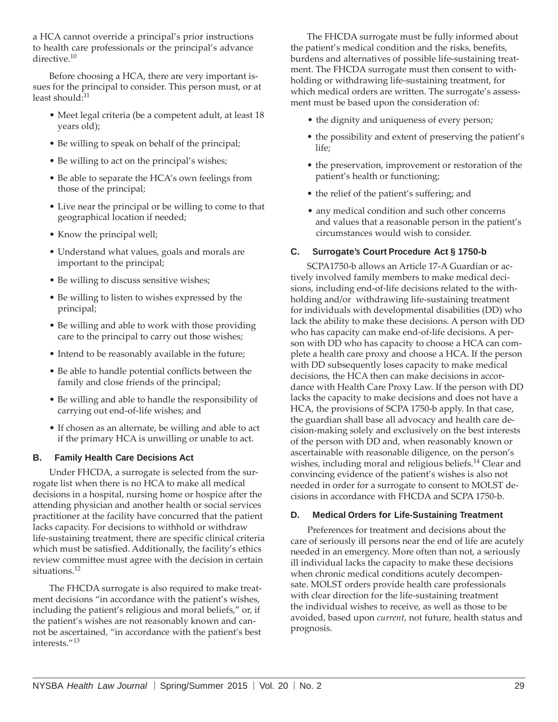a HCA cannot override a principal's prior instructions to health care professionals or the principal's advance directive.<sup>10</sup>

Before choosing a HCA, there are very important issues for the principal to consider. This person must, or at least should:<sup>11</sup>

- Meet legal criteria (be a competent adult, at least 18 years old);
- Be willing to speak on behalf of the principal;
- Be willing to act on the principal's wishes;
- Be able to separate the HCA's own feelings from those of the principal;
- Live near the principal or be willing to come to that geographical location if needed;
- Know the principal well;
- Understand what values, goals and morals are important to the principal;
- Be willing to discuss sensitive wishes;
- Be willing to listen to wishes expressed by the principal;
- Be willing and able to work with those providing care to the principal to carry out those wishes;
- Intend to be reasonably available in the future;
- Be able to handle potential conflicts between the family and close friends of the principal;
- Be willing and able to handle the responsibility of carrying out end-of-life wishes; and
- If chosen as an alternate, be willing and able to act if the primary HCA is unwilling or unable to act.

## **B. Family Health Care Decisions Act**

Under FHCDA, a surrogate is selected from the surrogate list when there is no HCA to make all medical decisions in a hospital, nursing home or hospice after the attending physician and another health or social services practitioner at the facility have concurred that the patient lacks capacity. For decisions to withhold or withdraw life-sustaining treatment, there are specific clinical criteria which must be satisfied. Additionally, the facility's ethics review committee must agree with the decision in certain situations.<sup>12</sup>

The FHCDA surrogate is also required to make treatment decisions "in accordance with the patient's wishes, including the patient's religious and moral beliefs," or, if the patient's wishes are not reasonably known and cannot be ascertained, "in accordance with the patient's best interests."<sup>13</sup>

The FHCDA surrogate must be fully informed about the patient's medical condition and the risks, benefits, burdens and alternatives of possible life-sustaining treatment. The FHCDA surrogate must then consent to withholding or withdrawing life-sustaining treatment, for which medical orders are written. The surrogate's assessment must be based upon the consideration of:

- the dignity and uniqueness of every person;
- the possibility and extent of preserving the patient's life;
- the preservation, improvement or restoration of the patient's health or functioning;
- the relief of the patient's suffering; and
- any medical condition and such other concerns and values that a reasonable person in the patient's circumstances would wish to consider.

## **C. Surrogate's Court Procedure Act § 1750-b**

SCPA1750-b allows an Article 17-A Guardian or actively involved family members to make medical decisions, including end-of-life decisions related to the withholding and/or withdrawing life-sustaining treatment for individuals with developmental disabilities (DD) who lack the ability to make these decisions. A person with DD who has capacity can make end-of-life decisions. A person with DD who has capacity to choose a HCA can complete a health care proxy and choose a HCA. If the person with DD subsequently loses capacity to make medical decisions, the HCA then can make decisions in accordance with Health Care Proxy Law. If the person with DD lacks the capacity to make decisions and does not have a HCA, the provisions of SCPA 1750-b apply. In that case, the guardian shall base all advocacy and health care decision-making solely and exclusively on the best interests of the person with DD and, when reasonably known or ascertainable with reasonable diligence, on the person's wishes, including moral and religious beliefs.<sup>14</sup> Clear and convincing evidence of the patient's wishes is also not needed in order for a surrogate to consent to MOLST decisions in accordance with FHCDA and SCPA 1750-b.

#### **D. Medical Orders for Life-Sustaining Treatment**

Preferences for treatment and decisions about the care of seriously ill persons near the end of life are acutely needed in an emergency. More often than not, a seriously ill individual lacks the capacity to make these decisions when chronic medical conditions acutely decompensate. MOLST orders provide health care professionals with clear direction for the life-sustaining treatment the individual wishes to receive, as well as those to be avoided, based upon *current*, not future, health status and prognosis.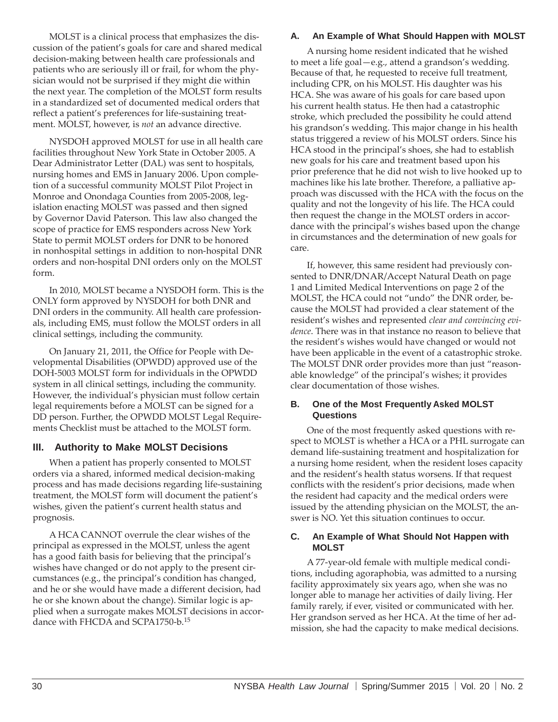MOLST is a clinical process that emphasizes the discussion of the patient's goals for care and shared medical decision-making between health care professionals and patients who are seriously ill or frail, for whom the physician would not be surprised if they might die within the next year. The completion of the MOLST form results in a standardized set of documented medical orders that reflect a patient's preferences for life-sustaining treatment. MOLST, however, is *not* an advance directive.

NYSDOH approved MOLST for use in all health care facilities throughout New York State in October 2005. A Dear Administrator Letter (DAL) was sent to hospitals, nursing homes and EMS in January 2006. Upon completion of a successful community MOLST Pilot Project in Monroe and Onondaga Counties from 2005-2008, legislation enacting MOLST was passed and then signed by Governor David Paterson. This law also changed the scope of practice for EMS responders across New York State to permit MOLST orders for DNR to be honored in nonhospital settings in addition to non-hospital DNR orders and non-hospital DNI orders only on the MOLST form.

In 2010, MOLST became a NYSDOH form. This is the ONLY form approved by NYSDOH for both DNR and DNI orders in the community. All health care professionals, including EMS, must follow the MOLST orders in all clinical settings, including the community.

On January 21, 2011, the Office for People with Developmental Disabilities (OPWDD) approved use of the DOH-5003 MOLST form for individuals in the OPWDD system in all clinical settings, including the community. However, the individual's physician must follow certain legal requirements before a MOLST can be signed for a DD person. Further, the OPWDD MOLST Legal Requirements Checklist must be attached to the MOLST form.

## **III. Authority to Make MOLST Decisions**

When a patient has properly consented to MOLST orders via a shared, informed medical decision-making process and has made decisions regarding life-sustaining treatment, the MOLST form will document the patient's wishes, given the patient's current health status and prognosis.

A HCA CANNOT overrule the clear wishes of the principal as expressed in the MOLST, unless the agent has a good faith basis for believing that the principal's wishes have changed or do not apply to the present circumstances (e.g., the principal's condition has changed, and he or she would have made a different decision, had he or she known about the change). Similar logic is applied when a surrogate makes MOLST decisions in accordance with FHCDA and SCPA1750-b.<sup>15</sup>

#### **A. An Example of What Should Happen with MOLST**

A nursing home resident indicated that he wished to meet a life goal—e.g., attend a grandson's wedding. Because of that, he requested to receive full treatment, including CPR, on his MOLST. His daughter was his HCA. She was aware of his goals for care based upon his current health status. He then had a catastrophic stroke, which precluded the possibility he could attend his grandson's wedding. This major change in his health status triggered a review of his MOLST orders. Since his HCA stood in the principal's shoes, she had to establish new goals for his care and treatment based upon his prior preference that he did not wish to live hooked up to machines like his late brother. Therefore, a palliative approach was discussed with the HCA with the focus on the quality and not the longevity of his life. The HCA could then request the change in the MOLST orders in accordance with the principal's wishes based upon the change in circumstances and the determination of new goals for care.

If, however, this same resident had previously consented to DNR/DNAR/Accept Natural Death on page 1 and Limited Medical Interventions on page 2 of the MOLST, the HCA could not "undo" the DNR order, because the MOLST had provided a clear statement of the resident's wishes and represented *clear and convincing evidence*. There was in that instance no reason to believe that the resident's wishes would have changed or would not have been applicable in the event of a catastrophic stroke. The MOLST DNR order provides more than just "reasonable knowledge" of the principal's wishes; it provides clear documentation of those wishes.

#### **B. One of the Most Frequently Asked MOLST Questions**

One of the most frequently asked questions with respect to MOLST is whether a HCA or a PHL surrogate can demand life-sustaining treatment and hospitalization for a nursing home resident, when the resident loses capacity and the resident's health status worsens. If that request conflicts with the resident's prior decisions, made when the resident had capacity and the medical orders were issued by the attending physician on the MOLST, the answer is NO. Yet this situation continues to occur.

#### **C. An Example of What Should Not Happen with MOLST**

A 77-year-old female with multiple medical conditions, including agoraphobia, was admitted to a nursing facility approximately six years ago, when she was no longer able to manage her activities of daily living. Her family rarely, if ever, visited or communicated with her. Her grandson served as her HCA. At the time of her admission, she had the capacity to make medical decisions.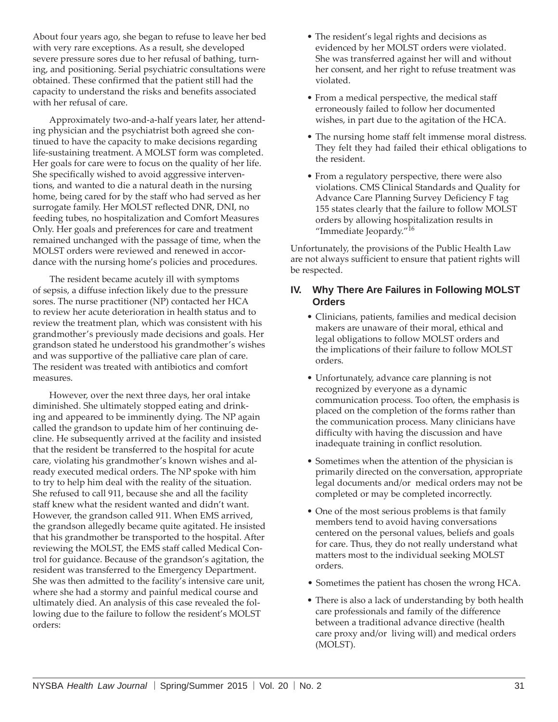About four years ago, she began to refuse to leave her bed with very rare exceptions. As a result, she developed severe pressure sores due to her refusal of bathing, turning, and positioning. Serial psychiatric consultations were obtained. These confirmed that the patient still had the capacity to understand the risks and benefits associated with her refusal of care.

Approximately two-and-a-half years later, her attending physician and the psychiatrist both agreed she continued to have the capacity to make decisions regarding life-sustaining treatment. A MOLST form was completed. Her goals for care were to focus on the quality of her life. She specifically wished to avoid aggressive interventions, and wanted to die a natural death in the nursing home, being cared for by the staff who had served as her surrogate family. Her MOLST reflected DNR, DNI, no feeding tubes, no hospitalization and Comfort Measures Only. Her goals and preferences for care and treatment remained unchanged with the passage of time, when the MOLST orders were reviewed and renewed in accordance with the nursing home's policies and procedures.

The resident became acutely ill with symptoms of sepsis, a diffuse infection likely due to the pressure sores. The nurse practitioner (NP) contacted her HCA to review her acute deterioration in health status and to review the treatment plan, which was consistent with his grandmother's previously made decisions and goals. Her grandson stated he understood his grandmother's wishes and was supportive of the palliative care plan of care. The resident was treated with antibiotics and comfort measures.

However, over the next three days, her oral intake diminished. She ultimately stopped eating and drinking and appeared to be imminently dying. The NP again called the grandson to update him of her continuing decline. He subsequently arrived at the facility and insisted that the resident be transferred to the hospital for acute care, violating his grandmother's known wishes and already executed medical orders. The NP spoke with him to try to help him deal with the reality of the situation. She refused to call 911, because she and all the facility staff knew what the resident wanted and didn't want. However, the grandson called 911. When EMS arrived, the grandson allegedly became quite agitated. He insisted that his grandmother be transported to the hospital. After reviewing the MOLST, the EMS staff called Medical Control for guidance. Because of the grandson's agitation, the resident was transferred to the Emergency Department. She was then admitted to the facility's intensive care unit, where she had a stormy and painful medical course and ultimately died. An analysis of this case revealed the following due to the failure to follow the resident's MOLST orders:

- The resident's legal rights and decisions as evidenced by her MOLST orders were violated. She was transferred against her will and without her consent, and her right to refuse treatment was violated.
- From a medical perspective, the medical staff erroneously failed to follow her documented wishes, in part due to the agitation of the HCA.
- The nursing home staff felt immense moral distress. They felt they had failed their ethical obligations to the resident.
- From a regulatory perspective, there were also violations. CMS Clinical Standards and Quality for Advance Care Planning Survey Deficiency F tag 155 states clearly that the failure to follow MOLST orders by allowing hospitalization results in "Immediate Jeopardy."<sup>16</sup>

Unfortunately, the provisions of the Public Health Law are not always sufficient to ensure that patient rights will be respected.

## **IV. Why There Are Failures in Following MOLST Orders**

- Clinicians, patients, families and medical decision makers are unaware of their moral, ethical and legal obligations to follow MOLST orders and the implications of their failure to follow MOLST orders.
- Unfortunately, advance care planning is not recognized by everyone as a dynamic communication process. Too often, the emphasis is placed on the completion of the forms rather than the communication process. Many clinicians have difficulty with having the discussion and have inadequate training in conflict resolution.
- Sometimes when the attention of the physician is primarily directed on the conversation, appropriate legal documents and/or medical orders may not be completed or may be completed incorrectly.
- One of the most serious problems is that family members tend to avoid having conversations centered on the personal values, beliefs and goals for care. Thus, they do not really understand what matters most to the individual seeking MOLST orders.
- Sometimes the patient has chosen the wrong HCA.
- There is also a lack of understanding by both health care professionals and family of the difference between a traditional advance directive (health care proxy and/or living will) and medical orders (MOLST).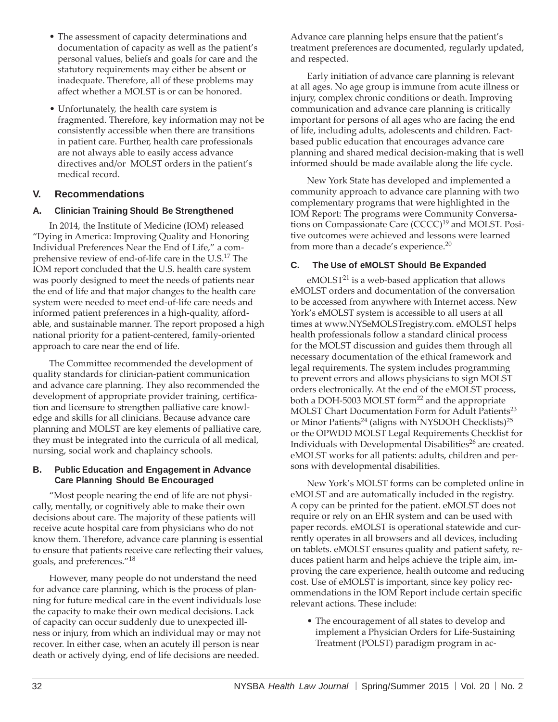- The assessment of capacity determinations and documentation of capacity as well as the patient's personal values, beliefs and goals for care and the statutory requirements may either be absent or inadequate. Therefore, all of these problems may affect whether a MOLST is or can be honored.
- Unfortunately, the health care system is fragmented. Therefore, key information may not be consistently accessible when there are transitions in patient care. Further, health care professionals are not always able to easily access advance directives and/or MOLST orders in the patient's medical record.

## **V. Recommendations**

## **A. Clinician Training Should Be Strengthened**

In 2014, the Institute of Medicine (IOM) released "Dying in America: Improving Quality and Honoring Individual Preferences Near the End of Life," a comprehensive review of end-of-life care in the U.S.<sup>17</sup> The IOM report concluded that the U.S. health care system was poorly designed to meet the needs of patients near the end of life and that major changes to the health care system were needed to meet end-of-life care needs and informed patient preferences in a high-quality, affordable, and sustainable manner. The report proposed a high national priority for a patient-centered, family-oriented approach to care near the end of life.

The Committee recommended the development of quality standards for clinician-patient communication and advance care planning. They also recommended the development of appropriate provider training, certification and licensure to strengthen palliative care knowledge and skills for all clinicians. Because advance care planning and MOLST are key elements of palliative care, they must be integrated into the curricula of all medical, nursing, social work and chaplaincy schools.

#### **B. Public Education and Engagement in Advance Care Planning Should Be Encouraged**

"Most people nearing the end of life are not physically, mentally, or cognitively able to make their own decisions about care. The majority of these patients will receive acute hospital care from physicians who do not know them. Therefore, advance care planning is essential to ensure that patients receive care reflecting their values, goals, and preferences."<sup>18</sup>

However, many people do not understand the need for advance care planning, which is the process of planning for future medical care in the event individuals lose the capacity to make their own medical decisions. Lack of capacity can occur suddenly due to unexpected illness or injury, from which an individual may or may not recover. In either case, when an acutely ill person is near death or actively dying, end of life decisions are needed.

Advance care planning helps ensure that the patient's treatment preferences are documented, regularly updated, and respected.

Early initiation of advance care planning is relevant at all ages. No age group is immune from acute illness or injury, complex chronic conditions or death. Improving communication and advance care planning is critically important for persons of all ages who are facing the end of life, including adults, adolescents and children. Factbased public education that encourages advance care planning and shared medical decision-making that is well informed should be made available along the life cycle.

New York State has developed and implemented a community approach to advance care planning with two complementary programs that were highlighted in the IOM Report: The programs were Community Conversations on Compassionate Care  $(CCCC)^{19}$  and MOLST. Positive outcomes were achieved and lessons were learned from more than a decade's experience.<sup>20</sup>

### **C. The Use of eMOLST Should Be Expanded**

eMOLST<sup>21</sup> is a web-based application that allows eMOLST orders and documentation of the conversation to be accessed from anywhere with Internet access. New York's eMOLST system is accessible to all users at al[l](http://www.nysemolstregistry.com/) [times at www.NYSeMOLSTregistry.](http://www.nysemolstregistry.com/)com. eMOLST helps health professionals follow a standard clinical process for the MOLST discussion and guides them through all necessary documentation of the ethical framework and legal requirements. The system includes programming to prevent errors and allows physicians to sign MOLST orders electronically. At the end of the eMOLST process, both a DOH-5003 MOLST form<sup>22</sup> and the appropriate MOLST Chart Documentation Form for Adult Patients<sup>23</sup> or Minor Patients<sup>24</sup> (aligns with NYSDOH Checklists)<sup>25</sup> or the OPWDD MOLST Legal Requirements Checklist for Individuals with Developmental Disabilities<sup>26</sup> are created. eMOLST works for all patients: adults, children and persons with developmental disabilities.

New York's MOLST forms can be completed online in eMOLST and are automatically included in the registry. A copy can be printed for the patient. eMOLST does not require or rely on an EHR system and can be used with paper records. eMOLST is operational statewide and currently operates in all browsers and all devices, including on tablets. eMOLST ensures quality and patient safety, reduces patient harm and helps achieve the triple aim, improving the care experience, health outcome and reducing cost. Use of eMOLST is important, since key policy recommendations in the IOM Report include certain specific relevant actions. These include:

• The encouragement of all states to develop and implement a Physician Orders for Life-Sustaining Treatment (POLST) paradigm program in ac